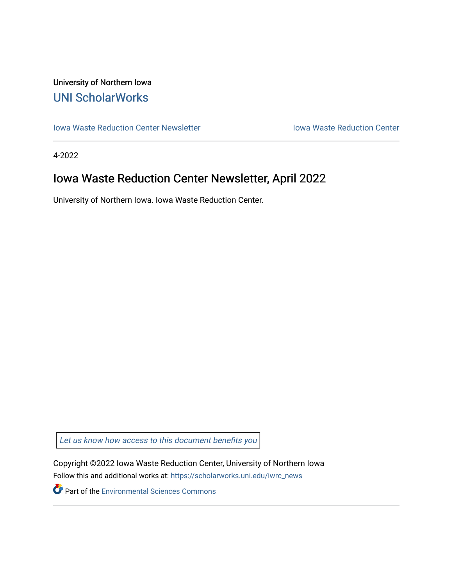#### University of Northern Iowa [UNI ScholarWorks](https://scholarworks.uni.edu/)

[Iowa Waste Reduction Center Newsletter](https://scholarworks.uni.edu/iwrc_news) **Internal Communist Communist Center** Iowa Waste Reduction Center

4-2022

### Iowa Waste Reduction Center Newsletter, April 2022

University of Northern Iowa. Iowa Waste Reduction Center.

Let us know how access to this document benefits you

Copyright ©2022 Iowa Waste Reduction Center, University of Northern Iowa Follow this and additional works at: [https://scholarworks.uni.edu/iwrc\\_news](https://scholarworks.uni.edu/iwrc_news?utm_source=scholarworks.uni.edu%2Fiwrc_news%2F96&utm_medium=PDF&utm_campaign=PDFCoverPages) 

**Part of the [Environmental Sciences Commons](http://network.bepress.com/hgg/discipline/167?utm_source=scholarworks.uni.edu%2Fiwrc_news%2F96&utm_medium=PDF&utm_campaign=PDFCoverPages)**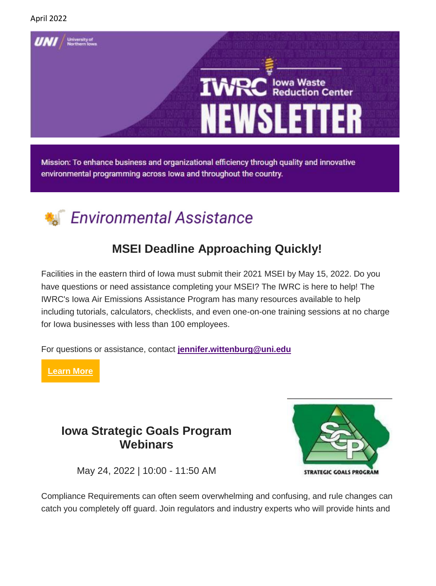

Mission: To enhance business and organizational efficiency through quality and innovative environmental programming across lowa and throughout the country.

# **Environmental Assistance**

### **MSEI Deadline Approaching Quickly!**

Facilities in the eastern third of Iowa must submit their 2021 MSEI by May 15, 2022. Do you have questions or need assistance completing your MSEI? The IWRC is here to help! The IWRC's Iowa Air Emissions Assistance Program has many resources available to help including tutorials, calculators, checklists, and even one-on-one training sessions at no charge for Iowa businesses with less than 100 employees.

For questions or assistance, contact **[jennifer.wittenburg@uni.edu](mailto:jennifer.wittenburg@uni.edu)**

**[Learn More](https://iwrc.uni.edu/msei)**

#### **Iowa Strategic Goals Program Webinars**



May 24, 2022 | 10:00 - 11:50 AM

Compliance Requirements can often seem overwhelming and confusing, and rule changes can catch you completely off guard. Join regulators and industry experts who will provide hints and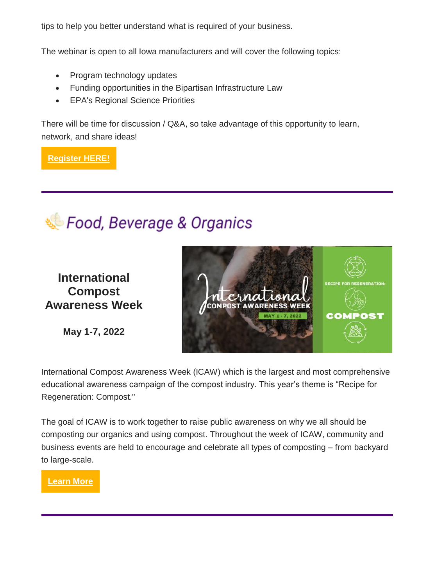tips to help you better understand what is required of your business.

The webinar is open to all Iowa manufacturers and will cover the following topics:

- Program technology updates
- Funding opportunities in the Bipartisan Infrastructure Law
- EPA's Regional Science Priorities

There will be time for discussion / Q&A, so take advantage of this opportunity to learn, network, and share ideas!

**[Register HERE!](https://uni.zoom.us/webinar/register/WN_ukkPhFgcSCCGH7tsA4yOKQ)**



**International Compost Awareness Week**

**May 1-7, 2022**



International Compost Awareness Week (ICAW) which is the largest and most comprehensive educational awareness campaign of the compost industry. This year's theme is "Recipe for Regeneration: Compost."

The goal of ICAW is to work together to raise public awareness on why we all should be composting our organics and using compost. Throughout the week of ICAW, community and business events are held to encourage and celebrate all types of composting – from backyard to large-scale.

**[Learn More](https://www.compostfoundation.org/ICAW/ICAW-Home)**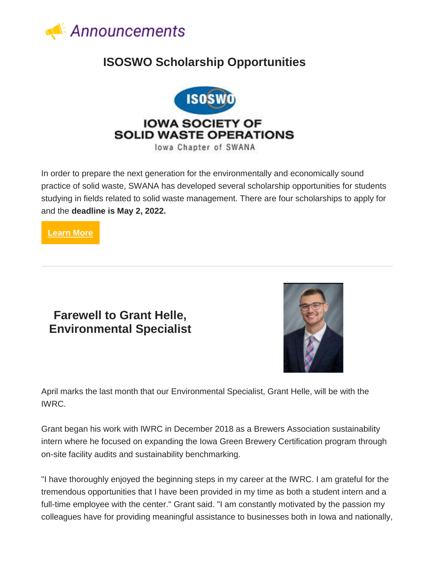

#### **ISOSWO Scholarship Opportunities**



In order to prepare the next generation for the environmentally and economically sound practice of solid waste, SWANA has developed several scholarship opportunities for students studying in fields related to solid waste management. There are four scholarships to apply for and the **deadline is May 2, 2022.**

**[Learn More](https://isoswo.org/Scholarship?fbclid=IwAR1Hwajc-ajzcYzhTurUlE_5o1npplF4dTJPvxY2qrIqCPknGQUwFsUtxyo)**

#### **Farewell to Grant Helle, Environmental Specialist**



April marks the last month that our Environmental Specialist, Grant Helle, will be with the IWRC.

Grant began his work with IWRC in December 2018 as a Brewers Association sustainability intern where he focused on expanding the Iowa Green Brewery Certification program through on-site facility audits and sustainability benchmarking.

"I have thoroughly enjoyed the beginning steps in my career at the IWRC. I am grateful for the tremendous opportunities that I have been provided in my time as both a student intern and a full-time employee with the center." Grant said. "I am constantly motivated by the passion my colleagues have for providing meaningful assistance to businesses both in Iowa and nationally,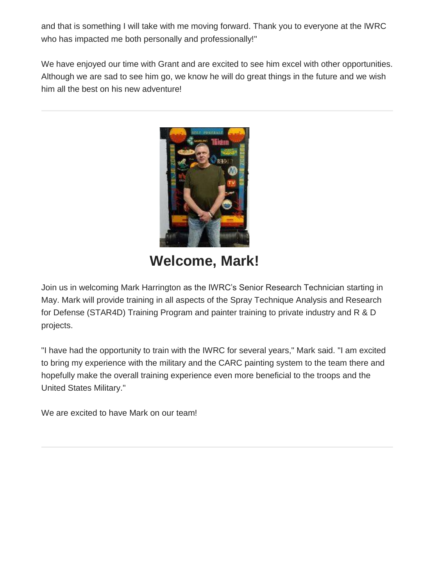and that is something I will take with me moving forward. Thank you to everyone at the IWRC who has impacted me both personally and professionally!"

We have enjoyed our time with Grant and are excited to see him excel with other opportunities. Although we are sad to see him go, we know he will do great things in the future and we wish him all the best on his new adventure!



**Welcome, Mark!**

Join us in welcoming Mark Harrington as the IWRC's Senior Research Technician starting in May. Mark will provide training in all aspects of the Spray Technique Analysis and Research for Defense (STAR4D) Training Program and painter training to private industry and R & D projects.

"I have had the opportunity to train with the IWRC for several years," Mark said. "I am excited to bring my experience with the military and the CARC painting system to the team there and hopefully make the overall training experience even more beneficial to the troops and the United States Military."

We are excited to have Mark on our team!